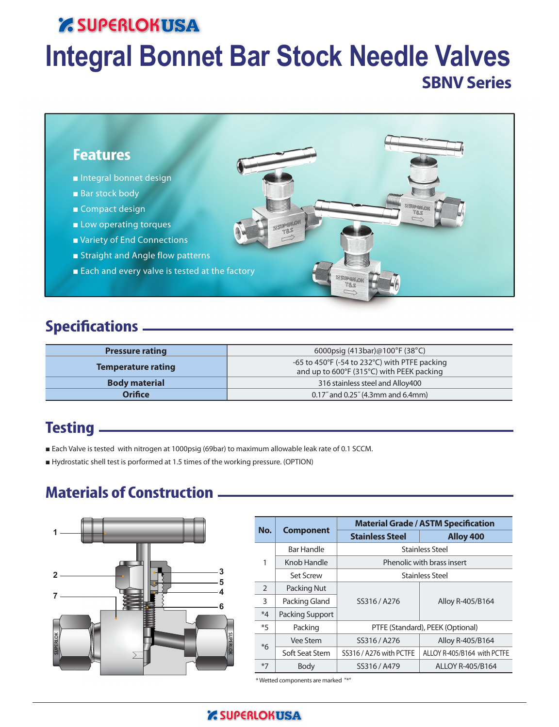# **Z SUPERLOKUSA**

# **Integral Bonnet Bar Stock Needle Valves SBNV Series**



## **Specifications**

| <b>Pressure rating</b> | 6000psig $(413bar)@100°F(38°C)$                                                            |
|------------------------|--------------------------------------------------------------------------------------------|
| Temperature rating     | -65 to 450°F (-54 to 232°C) with PTFE packing<br>and up to 600°F (315°C) with PEEK packing |
| <b>Body material</b>   | 316 stainless steel and Alloy400                                                           |
| <b>Orifice</b>         | $0.17$ " and $0.25$ " (4.3mm and 6.4mm)                                                    |

## **Testing**

- Each Valve is tested with nitrogen at 1000psig (69bar) to maximum allowable leak rate of 0.1 SCCM.
- Hydrostatic shell test is porformed at 1.5 times of the working pressure. (OPTION)

## **Materials of Construction**



|               |                        | <b>Material Grade / ASTM Specification</b> |                                  |  |  |  |
|---------------|------------------------|--------------------------------------------|----------------------------------|--|--|--|
| No.           | <b>Component</b>       | <b>Stainless Steel</b>                     | Alloy 400                        |  |  |  |
|               | <b>Bar Handle</b>      |                                            | <b>Stainless Steel</b>           |  |  |  |
| 1             | Knob Handle            |                                            | Phenolic with brass insert       |  |  |  |
|               | <b>Set Screw</b>       |                                            | Stainless Steel                  |  |  |  |
| $\mathcal{P}$ | Packing Nut            |                                            | Alloy R-405/B164                 |  |  |  |
| 3             | Packing Gland          | SS316 / A276                               |                                  |  |  |  |
| $*4$          | <b>Packing Support</b> |                                            |                                  |  |  |  |
| $*5$          | Packing                |                                            | PTFE (Standard), PEEK (Optional) |  |  |  |
| $*6$          | Vee Stem               | SS316 / A276                               | Alloy R-405/B164                 |  |  |  |
|               | Soft Seat Stem         | SS316 / A276 with PCTFE                    | ALLOY R-405/B164 with PCTFE      |  |  |  |
| $*7$          | Body                   | SS316 / A479                               | ALLOY R-405/B164                 |  |  |  |

\* Wetted components are marked "\*"

## **Z SUPERLOKUSA**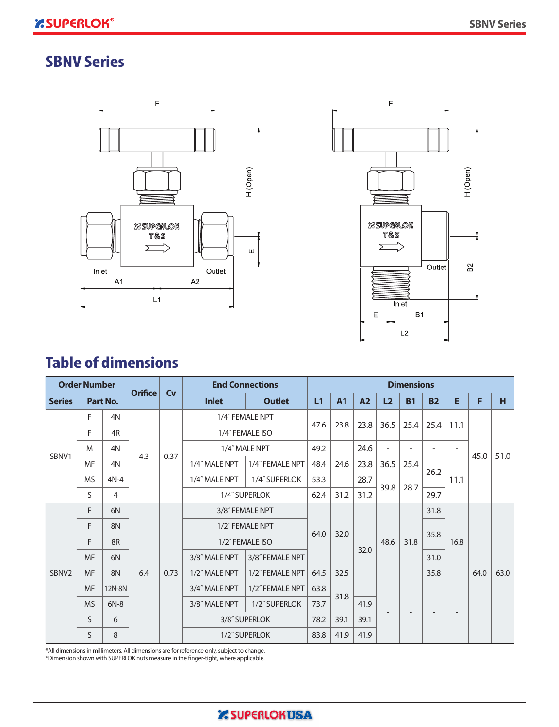## **SBNV Series**





## **Table of dimensions**

| <b>Order Number</b> |           |                |                | <b>End Connections</b> |                 | <b>Dimensions</b> |                 |      |                |        |           |           |                          |      |      |
|---------------------|-----------|----------------|----------------|------------------------|-----------------|-------------------|-----------------|------|----------------|--------|-----------|-----------|--------------------------|------|------|
| <b>Series</b>       |           | Part No.       | <b>Orifice</b> | <b>Cv</b>              | <b>Inlet</b>    | <b>Outlet</b>     | L1              | A1   | A <sub>2</sub> | L2     | <b>B1</b> | <b>B2</b> | E                        | F    | н    |
|                     | F         | 4N             |                |                        |                 | 1/4" FEMALE NPT   | 47.6            | 23.8 |                | 36.5   |           |           |                          |      |      |
|                     | F         | 4R             |                |                        |                 | 1/4" FEMALE ISO   |                 |      | 23.8           |        | 25.4      | 25.4      | 11.1                     |      |      |
|                     | M         | 4N             |                | 0.37                   |                 | 1/4" MALE NPT     | 49.2            |      | 24.6           | $\sim$ | ۰         | -         | $\overline{\phantom{a}}$ |      |      |
| SBNV1               | <b>MF</b> | 4N             | 4.3            |                        | 1/4" MALE NPT   | 1/4" FEMALE NPT   | 48.4            | 24.6 | 23.8           | 36.5   | 25.4      |           |                          | 45.0 | 51.0 |
|                     | <b>MS</b> | $4N-4$         |                |                        | 1/4" MALE NPT   | 1/4" SUPERLOK     | 53.3            |      | 28.7           |        |           | 26.2      | 11.1                     |      |      |
|                     | S.        | $\overline{4}$ |                |                        | 1/4" SUPERLOK   |                   | 62.4            | 31.2 | 31.2           | 39.8   | 28.7      | 29.7      |                          |      |      |
|                     | F         | 6N             |                |                        |                 | 3/8" FEMALE NPT   |                 |      |                |        |           | 31.8      |                          |      |      |
|                     | F         | 8N             |                |                        |                 | 1/2" FEMALE NPT   |                 |      |                |        |           | 35.8      |                          |      |      |
|                     | F         | 8 <sub>R</sub> |                |                        | 1/2" FEMALE ISO |                   | 64.0            | 32.0 |                | 48.6   | 31.8      |           | 16.8                     |      |      |
|                     | <b>MF</b> | 6N             |                |                        |                 | 3/8" MALE NPT     | 3/8" FEMALE NPT |      |                | 32.0   |           |           | 31.0                     |      |      |
| SBNV <sub>2</sub>   | <b>MF</b> | 8N             | 6.4            | 0.73                   | 1/2" MALE NPT   | 1/2" FEMALE NPT   | 64.5            | 32.5 |                |        |           | 35.8      |                          | 64.0 | 63.0 |
|                     | <b>MF</b> | 12N-8N         |                |                        | 3/4" MALE NPT   | 1/2" FEMALE NPT   | 63.8            | 31.8 |                |        |           |           |                          |      |      |
|                     | <b>MS</b> | $6N-8$         |                |                        | 3/8" MALE NPT   | 1/2" SUPERLOK     | 73.7            |      | 41.9           |        |           |           |                          |      |      |
|                     | S         | 6              |                |                        | 3/8" SUPERLOK   |                   | 78.2            | 39.1 | 39.1           |        |           |           |                          |      |      |
|                     | S         | 8              |                |                        |                 | 1/2" SUPERLOK     | 83.8            | 41.9 | 41.9           |        |           |           |                          |      |      |

\*All dimensions in millimeters. All dimensions are for reference only, subject to change. \*Dimension shown with SUPERLOK nuts measure in the finger-tight, where applicable.

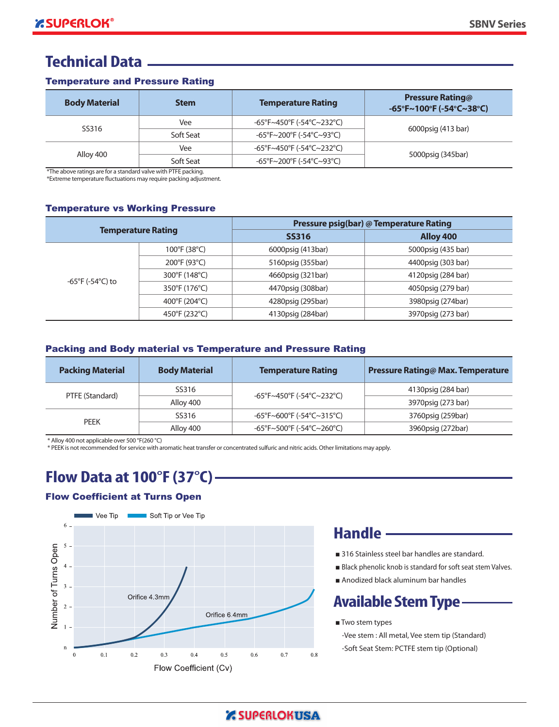## **Technical Data**

#### Temperature and Pressure Rating

| <b>Body Material</b> | <b>Stem</b> | <b>Temperature Rating</b> | <b>Pressure Rating@</b><br>$-65^{\circ}$ F~100 $^{\circ}$ F (-54 $^{\circ}$ C~38 $^{\circ}$ C) |  |
|----------------------|-------------|---------------------------|------------------------------------------------------------------------------------------------|--|
| SS316                | Vee         | -65°F~450°F (-54°C~232°C) |                                                                                                |  |
|                      | Soft Seat   | -65°F~200°F (-54°C~93°C)  | 6000psig (413 bar)                                                                             |  |
|                      | Vee         | -65°F~450°F (-54°C~232°C) |                                                                                                |  |
| Alloy 400            | Soft Seat   | -65°F~200°F (-54°C~93°C)  | 5000psig (345bar)                                                                              |  |

\*The above ratings are for a standard valve with PTFE packing.

\*Extreme temperature fluctuations may require packing adjustment.

#### Temperature vs Working Pressure

| <b>Temperature Rating</b> |               | Pressure psig(bar) @ Temperature Rating |                    |  |  |  |
|---------------------------|---------------|-----------------------------------------|--------------------|--|--|--|
|                           |               | <b>SS316</b>                            | Alloy 400          |  |  |  |
|                           | 100°F (38°C)  | 6000psig (413bar)                       | 5000psig (435 bar) |  |  |  |
|                           | 200°F (93°C)  | 5160psig (355bar)                       | 4400psig (303 bar) |  |  |  |
|                           | 300°F (148°C) | 4660psig (321bar)                       | 4120psig (284 bar) |  |  |  |
| -65°F (-54°C) to          | 350°F (176°C) | 4470psig (308bar)                       | 4050psig (279 bar) |  |  |  |
|                           | 400°F (204°C) | 4280psig (295bar)                       | 3980psig (274bar)  |  |  |  |
|                           | 450°F (232°C) | 4130psig (284bar)                       | 3970psig (273 bar) |  |  |  |

#### Packing and Body material vs Temperature and Pressure Rating

| <b>Packing Material</b> | <b>Body Material</b> | <b>Temperature Rating</b> | <b>Pressure Rating@ Max. Temperature</b> |
|-------------------------|----------------------|---------------------------|------------------------------------------|
| PTFE (Standard)         | SS316                | -65°F~450°F (-54°C~232°C) | 4130psig (284 bar)                       |
|                         | Alloy 400            |                           | 3970psig (273 bar)                       |
|                         | SS316                | -65°F~600°F (-54°C~315°C) | 3760psig (259bar)                        |
| <b>PEEK</b>             | Allov 400            | -65°F~500°F (-54°C~260°C) | 3960psig (272bar)                        |

\* Alloy 400 not applicable over 500 °F(260 °C)

\* PEEK is not recommended for service with aromatic heat transfer or concentrated sulfuric and nitric acids. Other limitations may apply.

## **Flow Data at 100°F (37°C)**

## Flow Coefficient at Turns Open



## **Handle**

- 316 Stainless steel bar handles are standard.
- Black phenolic knob is standard for soft seat stem Valves.
- Anodized black aluminum bar handles

## **Available Stem Type**

■ Two stem types

-Vee stem : All metal, Vee stem tip (Standard) -Soft Seat Stem: PCTFE stem tip (Optional)